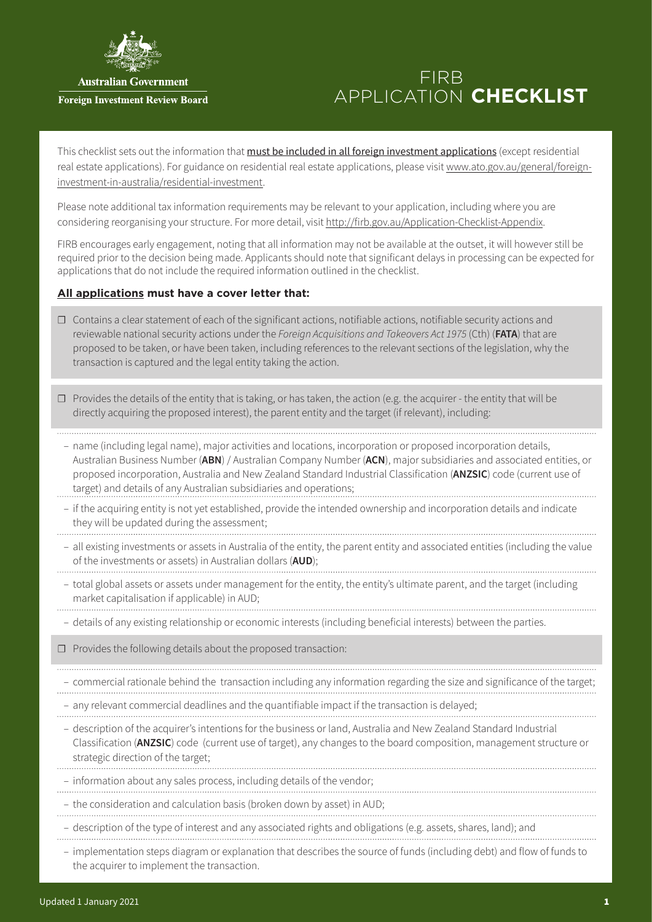

**Australian Government** 

#### **Foreign Investment Review Board**

# **APPLICATION CHECKLIST** FIRB

This checklist sets out the information that must be included in all foreign investment applications (except residential real estate applications). For guidance on residential real estate applications, please visit [www.ato.gov.au/general/foreign](https://www.ato.gov.au/general/foreign-investment-in-australia/residential-investment)[investment-in-australia/residential-investment.](https://www.ato.gov.au/general/foreign-investment-in-australia/residential-investment)

Please note additional tax information requirements may be relevant to your application, including where you are considering reorganising your structure. For more detail, visit <http://firb.gov.au/Application-Checklist-Appendix>.

FIRB encourages early engagement, noting that all information may not be available at the outset, it will however still be required prior to the decision being made. Applicants should note that significant delays in processing can be expected for applications that do not include the required information outlined in the checklist.

#### **All applications must have a cover letter that:**

- ☐ Contains a clear statement of each of the significant actions, notifiable actions, notifiable security actions and reviewable national security actions under the *Foreign Acquisitions and Takeovers Act 1975* (Cth) (**FATA**) that are proposed to be taken, or have been taken, including references to the relevant sections of the legislation, why the transaction is captured and the legal entity taking the action.
- $\Box$  Provides the details of the entity that is taking, or has taken, the action (e.g. the acquirer the entity that will be directly acquiring the proposed interest), the parent entity and the target (if relevant), including:
- name (including legal name), major activities and locations, incorporation or proposed incorporation details, Australian Business Number (**ABN**) / Australian Company Number (**ACN**), major subsidiaries and associated entities, or proposed incorporation, Australia and New Zealand Standard Industrial Classification (**ANZSIC**) code (current use of target) and details of any Australian subsidiaries and operations;

- if the acquiring entity is not yet established, provide the intended ownership and incorporation details and indicate they will be updated during the assessment;
- all existing investments or assets in Australia of the entity, the parent entity and associated entities (including the value of the investments or assets) in Australian dollars (**AUD**);
- total global assets or assets under management for the entity, the entity's ultimate parent, and the target (including market capitalisation if applicable) in AUD;
- details of any existing relationship or economic interests (including beneficial interests) between the parties.
- ☐ Provides the following details about the proposed transaction:
- commercial rationale behind the transaction including any information regarding the size and significance of the target;
- any relevant commercial deadlines and the quantifiable impact if the transaction is delayed;
- description of the acquirer's intentions for the business or land, Australia and New Zealand Standard Industrial Classification (**ANZSIC**) code (current use of target), any changes to the board composition, management structure or strategic direction of the target;
- information about any sales process, including details of the vendor;
- 
- the consideration and calculation basis (broken down by asset) in AUD;
- description of the type of interest and any associated rights and obligations (e.g. assets, shares, land); and
- implementation steps diagram or explanation that describes the source of funds (including debt) and flow of funds to the acquirer to implement the transaction.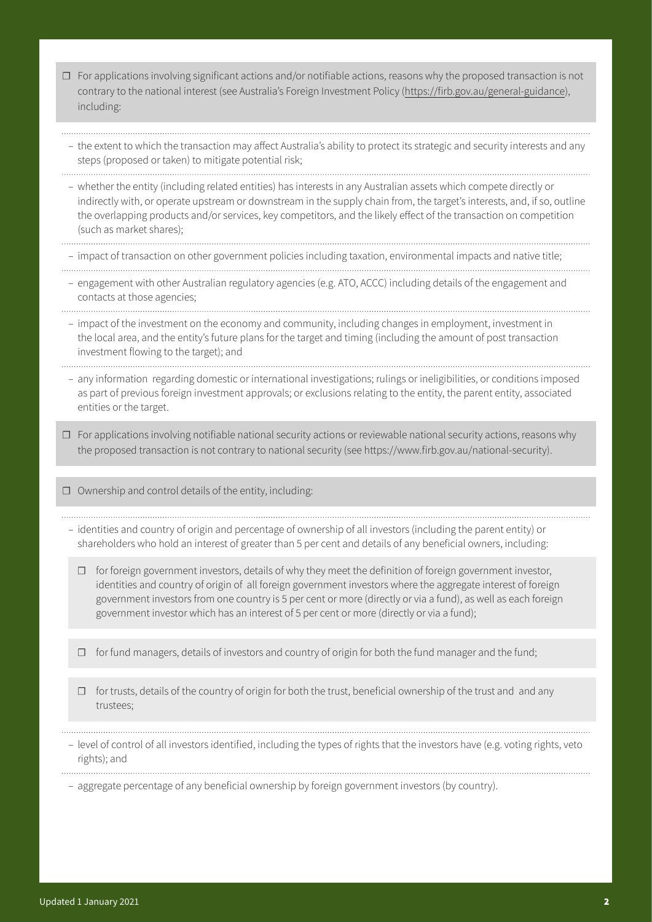- $\square$  For applications involving significant actions and/or notifiable actions, reasons why the proposed transaction is not contrary to the national interest (see Australia's Foreign Investment Policy (<https://firb.gov.au/general-guidance>), including:
- the extent to which the transaction may affect Australia's ability to protect its strategic and security interests and any steps (proposed or taken) to mitigate potential risk;

- whether the entity (including related entities) has interests in any Australian assets which compete directly or indirectly with, or operate upstream or downstream in the supply chain from, the target's interests, and, if so, outline the overlapping products and/or services, key competitors, and the likely effect of the transaction on competition (such as market shares);
- impact of transaction on other government policies including taxation, environmental impacts and native title;
- engagement with other Australian regulatory agencies (e.g. ATO, ACCC) including details of the engagement and contacts at those agencies;
- impact of the investment on the economy and community, including changes in employment, investment in the local area, and the entity's future plans for the target and timing (including the amount of post transaction investment flowing to the target); and
- any information regarding domestic or international investigations; rulings or ineligibilities, or conditions imposed as part of previous foreign investment approvals; or exclusions relating to the entity, the parent entity, associated entities or the target.
- $\square$  For applications involving notifiable national security actions or reviewable national security actions, reasons why the proposed transaction is not contrary to national security (see https://www.firb.gov.au/national-security).
- ☐ Ownership and control details of the entity, including:
	- identities and country of origin and percentage of ownership of all investors (including the parent entity) or shareholders who hold an interest of greater than 5 per cent and details of any beneficial owners, including:
		- ☐ for foreign government investors, details of why they meet the definition of foreign government investor, identities and country of origin of all foreign government investors where the aggregate interest of foreign government investors from one country is 5 per cent or more (directly or via a fund), as well as each foreign government investor which has an interest of 5 per cent or more (directly or via a fund);
		- ☐ for fund managers, details of investors and country of origin for both the fund manager and the fund;
		- $\Box$  for trusts, details of the country of origin for both the trust, beneficial ownership of the trust and and any trustees;
- level of control of all investors identified, including the types of rights that the investors have (e.g. voting rights, veto rights); and

– aggregate percentage of any beneficial ownership by foreign government investors (by country).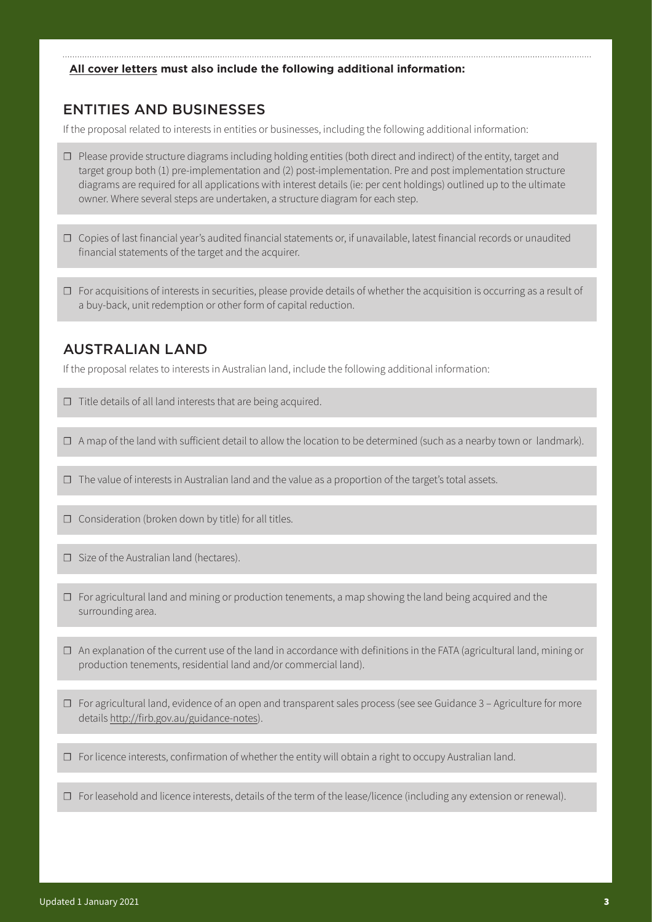#### **All cover letters must also include the following additional information:**

### ENTITIES AND BUSINESSES

If the proposal related to interests in entities or businesses, including the following additional information:

- ☐ Please provide structure diagrams including holding entities (both direct and indirect) of the entity, target and target group both (1) pre-implementation and (2) post-implementation. Pre and post implementation structure diagrams are required for all applications with interest details (ie: per cent holdings) outlined up to the ultimate owner. Where several steps are undertaken, a structure diagram for each step.
- ☐ Copies of last financial year's audited financial statements or, if unavailable, latest financial records or unaudited financial statements of the target and the acquirer.
- ☐ For acquisitions of interests in securities, please provide details of whether the acquisition is occurring as a result of a buy-back, unit redemption or other form of capital reduction.

### AUSTRALIAN LAND

If the proposal relates to interests in Australian land, include the following additional information:

- ☐ Title details of all land interests that are being acquired.
- ☐ A map of the land with sufficient detail to allow the location to be determined (such as a nearby town or landmark).
- ☐ The value of interests in Australian land and the value as a proportion of the target's total assets.
- $\Box$  Consideration (broken down by title) for all titles.
- ☐ Size of the Australian land (hectares).
- ☐ For agricultural land and mining or production tenements, a map showing the land being acquired and the surrounding area.
- $\Box$  An explanation of the current use of the land in accordance with definitions in the FATA (agricultural land, mining or production tenements, residential land and/or commercial land).
- ☐ For agricultural land, evidence of an open and transparent sales process (see see Guidance 3 Agriculture for more details <http://firb.gov.au/guidance-notes>).

☐ For licence interests, confirmation of whether the entity will obtain a right to occupy Australian land.

☐ For leasehold and licence interests, details of the term of the lease/licence (including any extension or renewal).